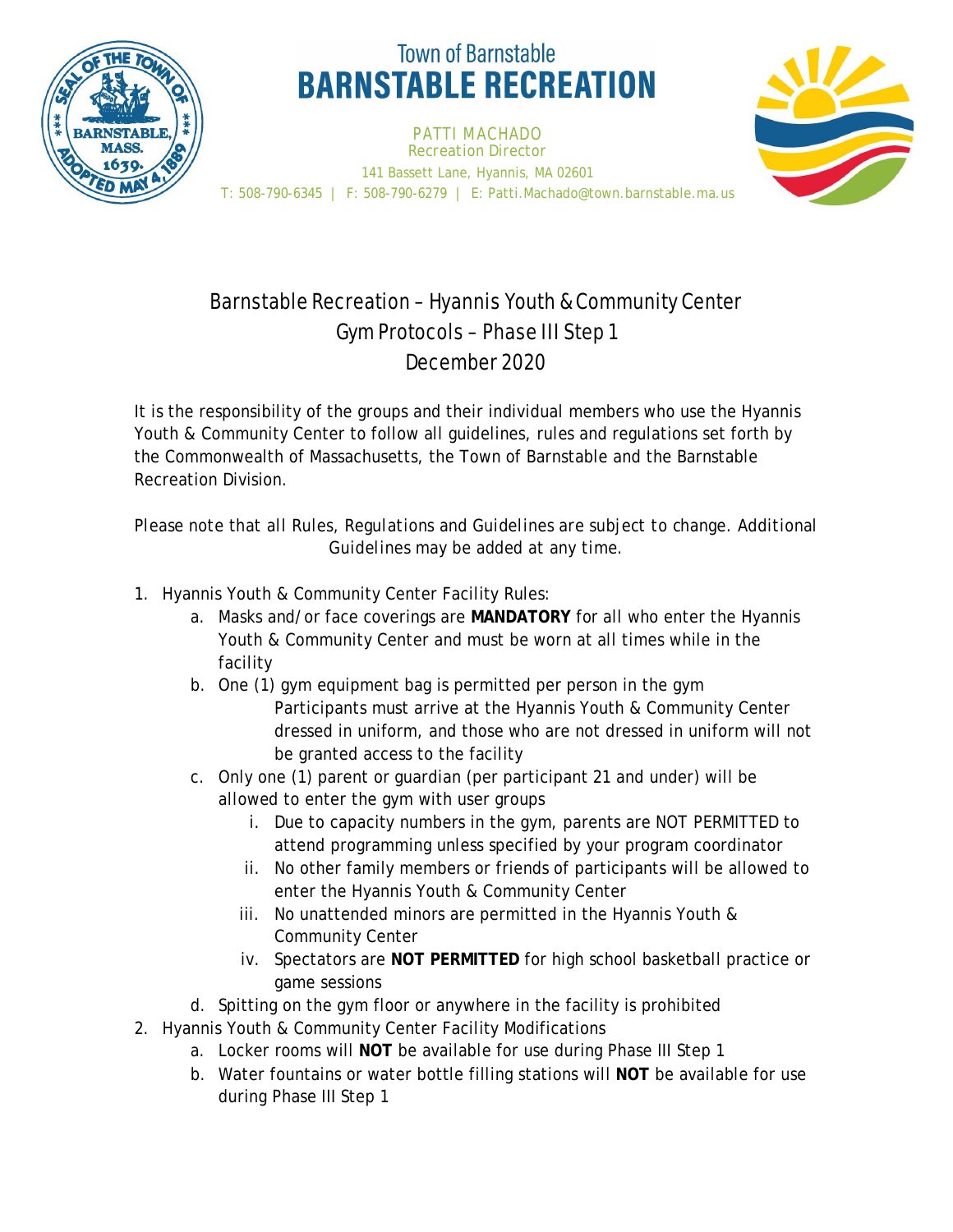

## **Town of Barnstable BARNSTABLE RECREATION**

PATTI MACHADO *Recreation Director* 141 Bassett Lane, Hyannis, MA 02601 T: 508-790-6345 | F: 508-790-6279 | E: Patti.Machado@town.barnstable.ma.us



## Barnstable Recreation – Hyannis Youth & Community Center Gym Protocols – Phase III Step 1 December 2020

It is the responsibility of the groups and their individual members who use the Hyannis Youth & Community Center to follow all guidelines, rules and regulations set forth by the Commonwealth of Massachusetts, the Town of Barnstable and the Barnstable Recreation Division.

*Please note that all Rules, Regulations and Guidelines are subject to change. Additional Guidelines may be added at any time.*

- 1. Hyannis Youth & Community Center Facility Rules:
	- a. Masks and/or face coverings are **MANDATORY** for all who enter the Hyannis Youth & Community Center and must be worn at all times while in the facility
	- b. One (1) gym equipment bag is permitted per person in the gym Participants must arrive at the Hyannis Youth & Community Center dressed in uniform, and those who are not dressed in uniform will not be granted access to the facility
	- c. Only one (1) parent or guardian (per participant 21 and under) will be allowed to enter the gym with user groups
		- i. Due to capacity numbers in the gym, parents are NOT PERMITTED to attend programming unless specified by your program coordinator
		- ii. No other family members or friends of participants will be allowed to enter the Hyannis Youth & Community Center
		- iii. No unattended minors are permitted in the Hyannis Youth & Community Center
		- iv. Spectators are **NOT PERMITTED** for high school basketball practice or game sessions
	- d. Spitting on the gym floor or anywhere in the facility is prohibited
- 2. Hyannis Youth & Community Center Facility Modifications
	- a. Locker rooms will **NOT** be available for use during Phase III Step 1
	- b. Water fountains or water bottle filling stations will **NOT** be available for use during Phase III Step 1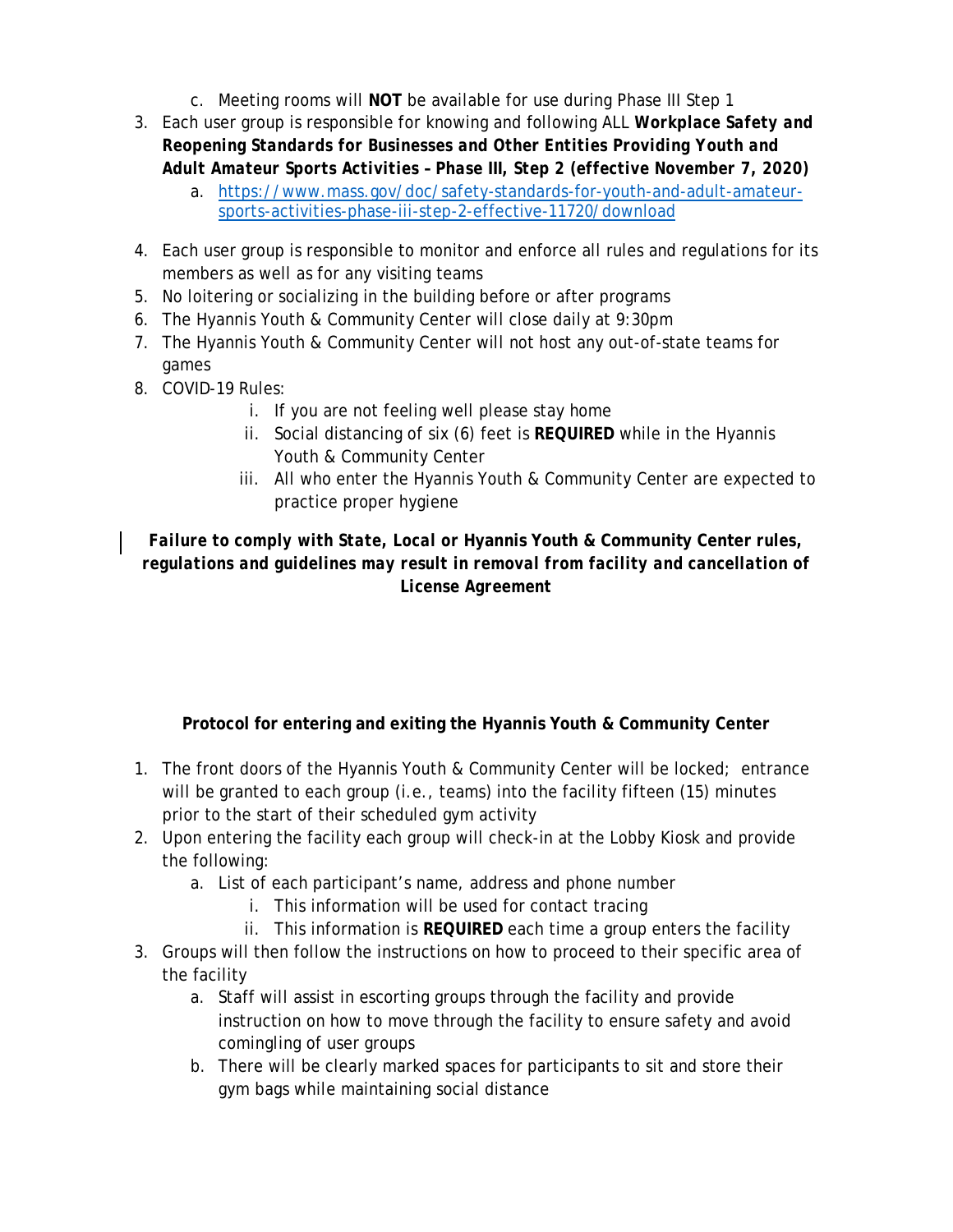- c. Meeting rooms will **NOT** be available for use during Phase III Step 1
- 3. Each user group is responsible for knowing and following ALL *Workplace Safety and Reopening Standards for Businesses and Other Entities Providing Youth and Adult Amateur Sports Activities – Phase III, Step 2 (effective November 7, 2020)*
	- a. https://www.mass.gov/doc/safety-standards-for-youth-and-adult-amateursports-activities-phase-iii-step-2-effective-11720/download
- 4. Each user group is responsible to monitor and enforce all rules and regulations for its members as well as for any visiting teams
- 5. No loitering or socializing in the building before or after programs
- 6. The Hyannis Youth & Community Center will close daily at 9:30pm
- 7. The Hyannis Youth & Community Center will not host any out-of-state teams for games
- 8. COVID-19 Rules:
	- i. If you are not feeling well please stay home
	- ii. Social distancing of six (6) feet is **REQUIRED** while in the Hyannis Youth & Community Center
	- iii. All who enter the Hyannis Youth & Community Center are expected to practice proper hygiene

## *Failure to comply with State, Local or* **Hyannis Youth & Community Center** *rules, regulations and guidelines may result in removal from facility and cancellation of License Agreement*

## **Protocol for entering and exiting the Hyannis Youth & Community Center**

- 1. The front doors of the Hyannis Youth & Community Center will be locked; entrance will be granted to each group (i.e., teams) into the facility fifteen (15) minutes prior to the start of their scheduled gym activity
- 2. Upon entering the facility each group will check-in at the Lobby Kiosk and provide the following:
	- a. List of each participant's name, address and phone number
		- i. This information will be used for contact tracing
		- ii. This information is **REQUIRED** each time a group enters the facility
- 3. Groups will then follow the instructions on how to proceed to their specific area of the facility
	- a. Staff will assist in escorting groups through the facility and provide instruction on how to move through the facility to ensure safety and avoid comingling of user groups
	- b. There will be clearly marked spaces for participants to sit and store their gym bags while maintaining social distance